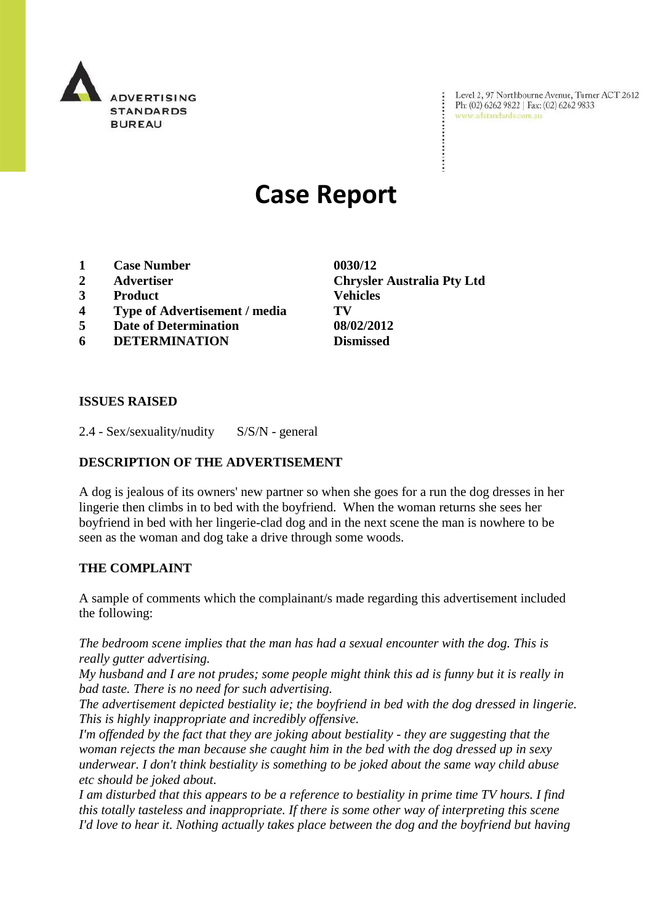

Level 2, 97 Northbourne Avenue, Turner ACT 2612 Ph: (02) 6262 9822 | Fax: (02) 6262 9833 www.adstandards.com.au

# **Case Report**

- **1 Case Number 0030/12**
- 
- **3 Product Vehicles**
- **4 Type of Advertisement / media TV**
- **5 Date of Determination 08/02/2012**
- **6 DETERMINATION Dismissed**

**2 Advertiser Chrysler Australia Pty Ltd** 

#### **ISSUES RAISED**

2.4 - Sex/sexuality/nudity S/S/N - general

#### **DESCRIPTION OF THE ADVERTISEMENT**

A dog is jealous of its owners' new partner so when she goes for a run the dog dresses in her lingerie then climbs in to bed with the boyfriend. When the woman returns she sees her boyfriend in bed with her lingerie-clad dog and in the next scene the man is nowhere to be seen as the woman and dog take a drive through some woods.

#### **THE COMPLAINT**

A sample of comments which the complainant/s made regarding this advertisement included the following:

*The bedroom scene implies that the man has had a sexual encounter with the dog. This is really gutter advertising.*

*My husband and I are not prudes; some people might think this ad is funny but it is really in bad taste. There is no need for such advertising.*

*The advertisement depicted bestiality ie; the boyfriend in bed with the dog dressed in lingerie. This is highly inappropriate and incredibly offensive.* 

*I'm offended by the fact that they are joking about bestiality - they are suggesting that the woman rejects the man because she caught him in the bed with the dog dressed up in sexy underwear. I don't think bestiality is something to be joked about the same way child abuse etc should be joked about.*

*I am disturbed that this appears to be a reference to bestiality in prime time TV hours. I find this totally tasteless and inappropriate. If there is some other way of interpreting this scene I'd love to hear it. Nothing actually takes place between the dog and the boyfriend but having*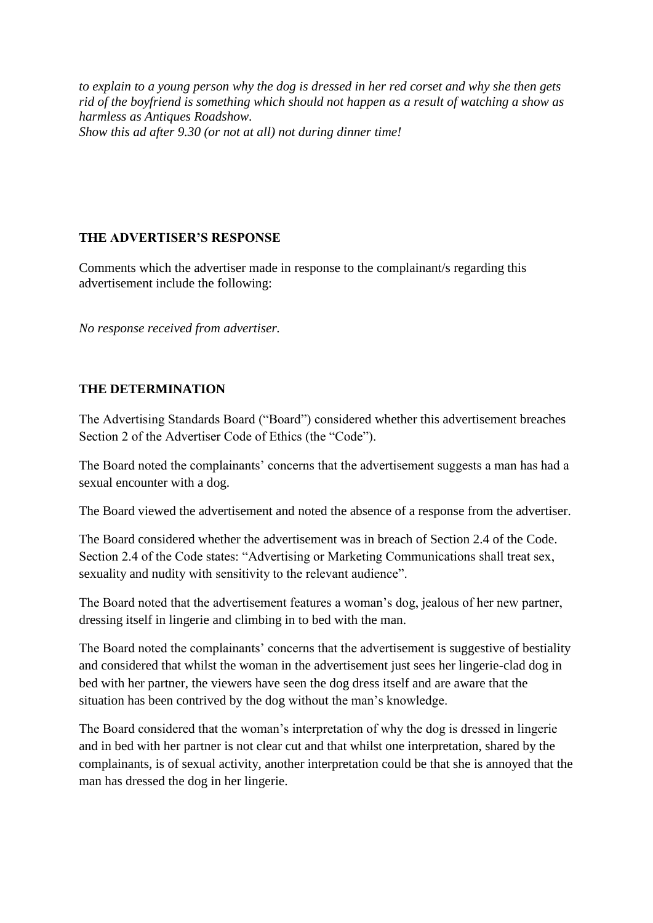*to explain to a young person why the dog is dressed in her red corset and why she then gets rid of the boyfriend is something which should not happen as a result of watching a show as harmless as Antiques Roadshow. Show this ad after 9.30 (or not at all) not during dinner time!*

### **THE ADVERTISER'S RESPONSE**

Comments which the advertiser made in response to the complainant/s regarding this advertisement include the following:

*No response received from advertiser.*

## **THE DETERMINATION**

The Advertising Standards Board ("Board") considered whether this advertisement breaches Section 2 of the Advertiser Code of Ethics (the "Code").

The Board noted the complainants' concerns that the advertisement suggests a man has had a sexual encounter with a dog.

The Board viewed the advertisement and noted the absence of a response from the advertiser.

The Board considered whether the advertisement was in breach of Section 2.4 of the Code. Section 2.4 of the Code states: "Advertising or Marketing Communications shall treat sex, sexuality and nudity with sensitivity to the relevant audience".

The Board noted that the advertisement features a woman's dog, jealous of her new partner, dressing itself in lingerie and climbing in to bed with the man.

The Board noted the complainants' concerns that the advertisement is suggestive of bestiality and considered that whilst the woman in the advertisement just sees her lingerie-clad dog in bed with her partner, the viewers have seen the dog dress itself and are aware that the situation has been contrived by the dog without the man's knowledge.

The Board considered that the woman's interpretation of why the dog is dressed in lingerie and in bed with her partner is not clear cut and that whilst one interpretation, shared by the complainants, is of sexual activity, another interpretation could be that she is annoyed that the man has dressed the dog in her lingerie.